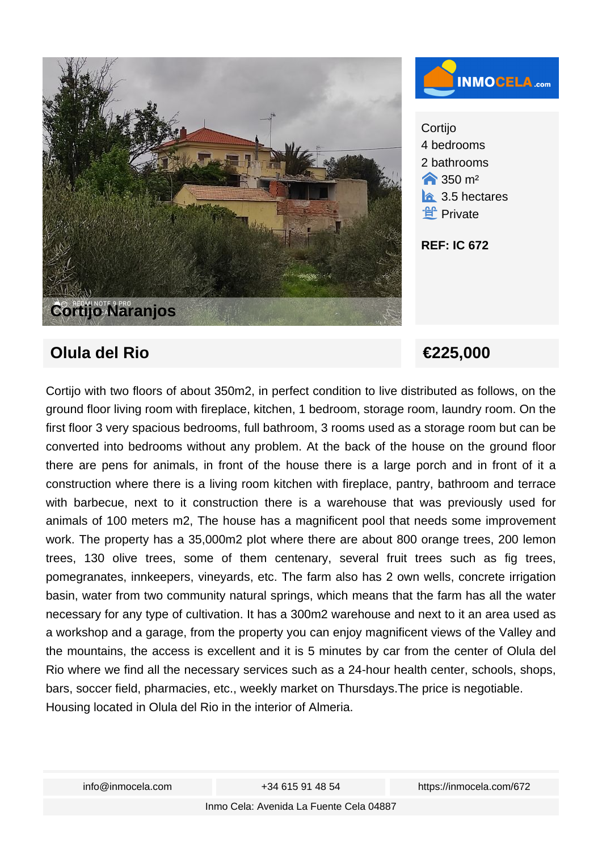

## 4 bedrooms 2 bathrooms  $\bigtriangleup$  350 m<sup>2</sup>  $\hat{a}$  3.5 hectares ·**ef** Private

## **REF: IC 672**

## **Olula del Rio ∈225,000**

Cortijo with two floors of about 350m2, in perfect condition to live distributed as follows, on the ground floor living room with fireplace, kitchen, 1 bedroom, storage room, laundry room. On the first floor 3 very spacious bedrooms, full bathroom, 3 rooms used as a storage room but can be converted into bedrooms without any problem. At the back of the house on the ground floor there are pens for animals, in front of the house there is a large porch and in front of it a construction where there is a living room kitchen with fireplace, pantry, bathroom and terrace with barbecue, next to it construction there is a warehouse that was previously used for animals of 100 meters m2, The house has a magnificent pool that needs some improvement work. The property has a 35,000m2 plot where there are about 800 orange trees, 200 lemon trees, 130 olive trees, some of them centenary, several fruit trees such as fig trees, pomegranates, innkeepers, vineyards, etc. The farm also has 2 own wells, concrete irrigation basin, water from two community natural springs, which means that the farm has all the water necessary for any type of cultivation. It has a 300m2 warehouse and next to it an area used as a workshop and a garage, from the property you can enjoy magnificent views of the Valley and the mountains, the access is excellent and it is 5 minutes by car from the center of Olula del Rio where we find all the necessary services such as a 24-hour health center, schools, shops, bars, soccer field, pharmacies, etc., weekly market on Thursdays.The price is negotiable. Housing located in Olula del Rio in the interior of Almeria.